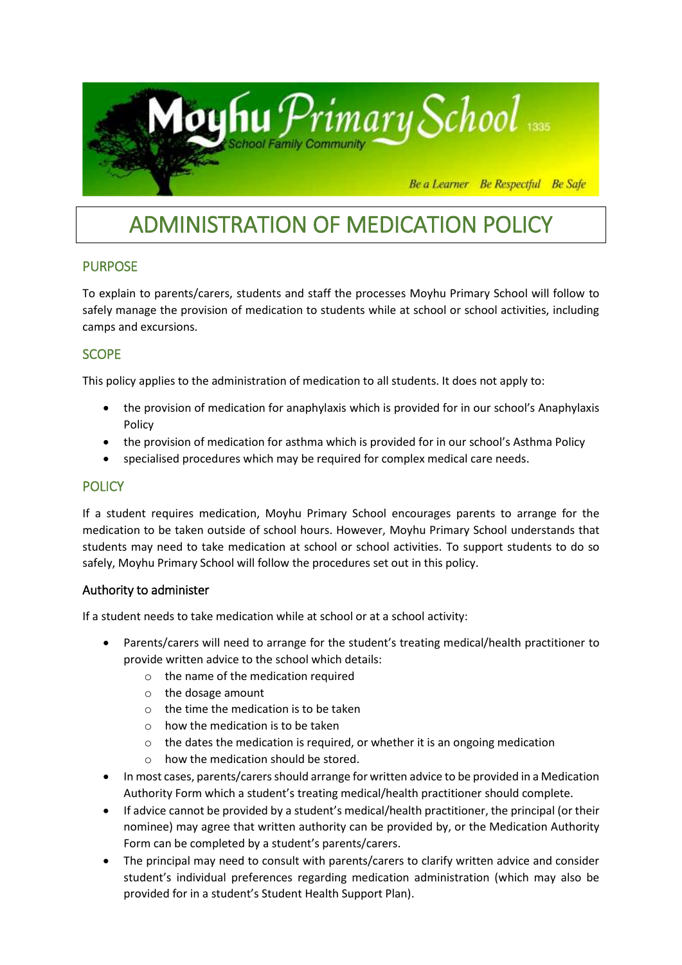

# ADMINISTRATION OF MEDICATION POLICY

# PURPOSE

To explain to parents/carers, students and staff the processes Moyhu Primary School will follow to safely manage the provision of medication to students while at school or school activities, including camps and excursions.

# **SCOPE**

This policy applies to the administration of medication to all students. It does not apply to:

- the provision of medication for anaphylaxis which is provided for in our school's Anaphylaxis Policy
- the provision of medication for asthma which is provided for in our school's Asthma Policy
- specialised procedures which may be required for complex medical care needs.

# **POLICY**

If a student requires medication, Moyhu Primary School encourages parents to arrange for the medication to be taken outside of school hours. However, Moyhu Primary School understands that students may need to take medication at school or school activities. To support students to do so safely, Moyhu Primary School will follow the procedures set out in this policy.

#### Authority to administer

If a student needs to take medication while at school or at a school activity:

- Parents/carers will need to arrange for the student's treating medical/health practitioner to provide written advice to the school which details:
	- o the name of the medication required
	- o the dosage amount
	- o the time the medication is to be taken
	- $\circ$  how the medication is to be taken
	- $\circ$  the dates the medication is required, or whether it is an ongoing medication
	- o how the medication should be stored.
- In most cases, parents/carers should arrange for written advice to be provided in a Medication Authority Form which a student's treating medical/health practitioner should complete.
- If advice cannot be provided by a student's medical/health practitioner, the principal (or their nominee) may agree that written authority can be provided by, or the Medication Authority Form can be completed by a student's parents/carers.
- The principal may need to consult with parents/carers to clarify written advice and consider student's individual preferences regarding medication administration (which may also be provided for in a student's Student Health Support Plan).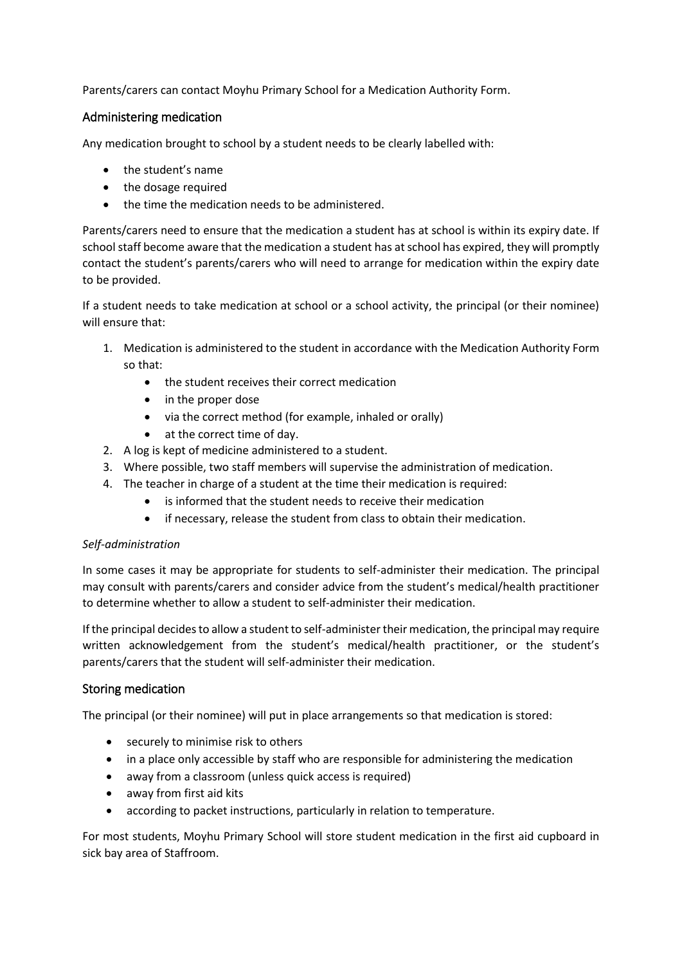Parents/carers can contact Moyhu Primary School for a Medication Authority Form.

### Administering medication

Any medication brought to school by a student needs to be clearly labelled with:

- the student's name
- the dosage required
- the time the medication needs to be administered.

Parents/carers need to ensure that the medication a student has at school is within its expiry date. If school staff become aware that the medication a student has at school has expired, they will promptly contact the student's parents/carers who will need to arrange for medication within the expiry date to be provided.

If a student needs to take medication at school or a school activity, the principal (or their nominee) will ensure that:

- 1. Medication is administered to the student in accordance with the Medication Authority Form so that:
	- the student receives their correct medication
	- in the proper dose
	- via the correct method (for example, inhaled or orally)
	- at the correct time of day.
- 2. A log is kept of medicine administered to a student.
- 3. Where possible, two staff members will supervise the administration of medication.
- 4. The teacher in charge of a student at the time their medication is required:
	- is informed that the student needs to receive their medication
	- if necessary, release the student from class to obtain their medication.

#### *Self-administration*

In some cases it may be appropriate for students to self-administer their medication. The principal may consult with parents/carers and consider advice from the student's medical/health practitioner to determine whether to allow a student to self-administer their medication.

If the principal decides to allow a student to self-administer their medication, the principal may require written acknowledgement from the student's medical/health practitioner, or the student's parents/carers that the student will self-administer their medication.

#### Storing medication

The principal (or their nominee) will put in place arrangements so that medication is stored:

- securely to minimise risk to others
- in a place only accessible by staff who are responsible for administering the medication
- away from a classroom (unless quick access is required)
- away from first aid kits
- according to packet instructions, particularly in relation to temperature.

For most students, Moyhu Primary School will store student medication in the first aid cupboard in sick bay area of Staffroom.